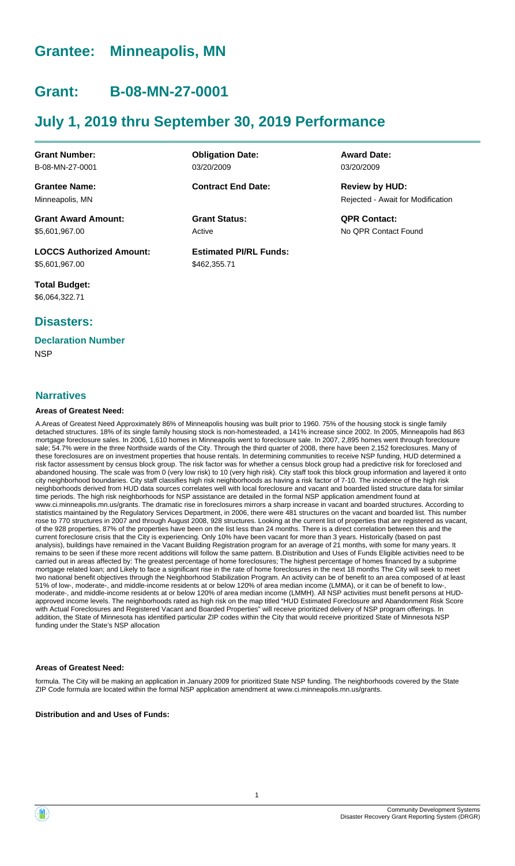# **Grantee: Minneapolis, MN**

# **Grant: B-08-MN-27-0001**

# **July 1, 2019 thru September 30, 2019 Performance**

**Grant Number:** B-08-MN-27-0001

**Grantee Name:** Minneapolis, MN

**Grant Award Amount:** \$5,601,967.00

**LOCCS Authorized Amount:** \$5,601,967.00

**Total Budget:** \$6,064,322.71

### **Disasters:**

### **Declaration Number**

**NSP** 

#### **Narratives**

#### **Areas of Greatest Need:**

A.Areas of Greatest Need Approximately 86% of Minneapolis housing was built prior to 1960. 75% of the housing stock is single family detached structures. 18% of its single family housing stock is non-homesteaded, a 141% increase since 2002. In 2005, Minneapolis had 863 mortgage foreclosure sales. In 2006, 1,610 homes in Minneapolis went to foreclosure sale. In 2007, 2,895 homes went through foreclosure sale; 54.7% were in the three Northside wards of the City. Through the third quarter of 2008, there have been 2,152 foreclosures. Many of these foreclosures are on investment properties that house rentals. In determining communities to receive NSP funding, HUD determined a risk factor assessment by census block group. The risk factor was for whether a census block group had a predictive risk for foreclosed and abandoned housing. The scale was from 0 (very low risk) to 10 (very high risk). City staff took this block group information and layered it onto city neighborhood boundaries. City staff classifies high risk neighborhoods as having a risk factor of 7-10. The incidence of the high risk neighborhoods derived from HUD data sources correlates well with local foreclosure and vacant and boarded listed structure data for similar time periods. The high risk neighborhoods for NSP assistance are detailed in the formal NSP application amendment found at www.ci.minneapolis.mn.us/grants. The dramatic rise in foreclosures mirrors a sharp increase in vacant and boarded structures. According to statistics maintained by the Regulatory Services Department, in 2006, there were 481 structures on the vacant and boarded list. This number rose to 770 structures in 2007 and through August 2008, 928 structures. Looking at the current list of properties that are registered as vacant, of the 928 properties, 87% of the properties have been on the list less than 24 months. There is a direct correlation between this and the current foreclosure crisis that the City is experiencing. Only 10% have been vacant for more than 3 years. Historically (based on past analysis), buildings have remained in the Vacant Building Registration program for an average of 21 months, with some for many years. It remains to be seen if these more recent additions will follow the same pattern. B.Distribution and Uses of Funds Eligible activities need to be carried out in areas affected by: The greatest percentage of home foreclosures; The highest percentage of homes financed by a subprime mortgage related loan; and Likely to face a significant rise in the rate of home foreclosures in the next 18 months The City will seek to meet two national benefit objectives through the Neighborhood Stabilization Program. An activity can be of benefit to an area composed of at least 51% of low-, moderate-, and middle-income residents at or below 120% of area median income (LMMA), or it can be of benefit to low-, moderate-, and middle-income residents at or below 120% of area median income (LMMH). All NSP activities must benefit persons at HUDapproved income levels. The neighborhoods rated as high risk on the map titled "HUD Estimated Foreclosure and Abandonment Risk Score with Actual Foreclosures and Registered Vacant and Boarded Properties" will receive prioritized delivery of NSP program offerings. In addition, the State of Minnesota has identified particular ZIP codes within the City that would receive prioritized State of Minnesota NSP funding under the State's NSP allocation

#### **Areas of Greatest Need:**

formula. The City will be making an application in January 2009 for prioritized State NSP funding. The neighborhoods covered by the State ZIP Code formula are located within the formal NSP application amendment at www.ci.minneapolis.mn.us/grants.

**Distribution and and Uses of Funds:**

**Obligation Date:** 03/20/2009

**Contract End Date:**

Active

**Estimated PI/RL Funds:** \$462,355.71

**Award Date:** 03/20/2009

Rejected - Await for Modification **Review by HUD:**

**Grant Status: QPR Contact:** No QPR Contact Found

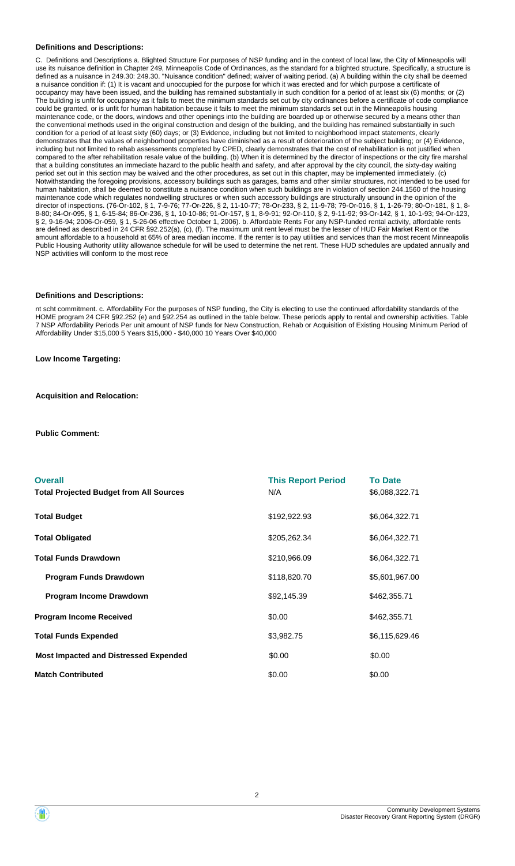#### **Definitions and Descriptions:**

C. Definitions and Descriptions a. Blighted Structure For purposes of NSP funding and in the context of local law, the City of Minneapolis will use its nuisance definition in Chapter 249, Minneapolis Code of Ordinances, as the standard for a blighted structure. Specifically, a structure is defined as a nuisance in 249.30: 249.30. "Nuisance condition" defined; waiver of waiting period. (a) A building within the city shall be deemed a nuisance condition if: (1) It is vacant and unoccupied for the purpose for which it was erected and for which purpose a certificate of occupancy may have been issued, and the building has remained substantially in such condition for a period of at least six (6) months; or (2) The building is unfit for occupancy as it fails to meet the minimum standards set out by city ordinances before a certificate of code compliance could be granted, or is unfit for human habitation because it fails to meet the minimum standards set out in the Minneapolis housing maintenance code, or the doors, windows and other openings into the building are boarded up or otherwise secured by a means other than the conventional methods used in the original construction and design of the building, and the building has remained substantially in such condition for a period of at least sixty (60) days; or (3) Evidence, including but not limited to neighborhood impact statements, clearly demonstrates that the values of neighborhood properties have diminished as a result of deterioration of the subject building; or (4) Evidence, including but not limited to rehab assessments completed by CPED, clearly demonstrates that the cost of rehabilitation is not justified when compared to the after rehabilitation resale value of the building. (b) When it is determined by the director of inspections or the city fire marshal that a building constitutes an immediate hazard to the public health and safety, and after approval by the city council, the sixty-day waiting period set out in this section may be waived and the other procedures, as set out in this chapter, may be implemented immediately. (c) Notwithstanding the foregoing provisions, accessory buildings such as garages, barns and other similar structures, not intended to be used for human habitation, shall be deemed to constitute a nuisance condition when such buildings are in violation of section 244.1560 of the housing maintenance code which regulates nondwelling structures or when such accessory buildings are structurally unsound in the opinion of the director of inspections. (76-Or-102, § 1, 7-9-76; 77-Or-226, § 2, 11-10-77; 78-Or-233, § 2, 11-9-78; 79-Or-016, § 1, 1-26-79; 80-Or-181, § 1, 8- 8-80; 84-Or-095, § 1, 6-15-84; 86-Or-236, § 1, 10-10-86; 91-Or-157, § 1, 8-9-91; 92-Or-110, § 2, 9-11-92; 93-Or-142, § 1, 10-1-93; 94-Or-123, § 2, 9-16-94; 2006-Or-059, § 1, 5-26-06 effective October 1, 2006). b. Affordable Rents For any NSP-funded rental activity, affordable rents are defined as described in 24 CFR §92.252(a), (c), (f). The maximum unit rent level must be the lesser of HUD Fair Market Rent or the amount affordable to a household at 65% of area median income. If the renter is to pay utilities and services than the most recent Minneapolis Public Housing Authority utility allowance schedule for will be used to determine the net rent. These HUD schedules are updated annually and NSP activities will conform to the most rece

#### **Definitions and Descriptions:**

nt scht commitment. c. Affordability For the purposes of NSP funding, the City is electing to use the continued affordability standards of the HOME program 24 CFR §92.252 (e) and §92.254 as outlined in the table below. These periods apply to rental and ownership activities. Table 7 NSP Affordability Periods Per unit amount of NSP funds for New Construction, Rehab or Acquisition of Existing Housing Minimum Period of Affordability Under \$15,000 5 Years \$15,000 - \$40,000 10 Years Over \$40,000

**Low Income Targeting:**

**Acquisition and Relocation:**

**Public Comment:**

| <b>Overall</b><br><b>Total Projected Budget from All Sources</b> | <b>This Report Period</b><br>N/A | <b>To Date</b><br>\$6,088,322.71 |
|------------------------------------------------------------------|----------------------------------|----------------------------------|
| <b>Total Budget</b>                                              | \$192,922.93                     | \$6,064,322.71                   |
| <b>Total Obligated</b>                                           | \$205,262.34                     | \$6,064,322.71                   |
| <b>Total Funds Drawdown</b>                                      | \$210,966.09                     | \$6,064,322.71                   |
| <b>Program Funds Drawdown</b>                                    | \$118,820.70                     | \$5,601,967.00                   |
| Program Income Drawdown                                          | \$92,145.39                      | \$462,355.71                     |
| <b>Program Income Received</b>                                   | \$0.00                           | \$462,355.71                     |
| <b>Total Funds Expended</b>                                      | \$3,982.75                       | \$6,115,629.46                   |
| <b>Most Impacted and Distressed Expended</b>                     | \$0.00                           | \$0.00                           |
| <b>Match Contributed</b>                                         | \$0.00                           | \$0.00                           |

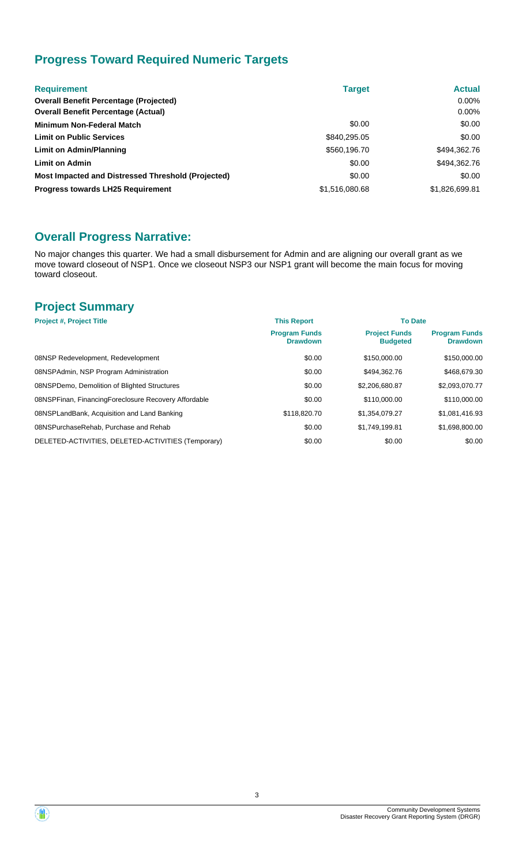# **Progress Toward Required Numeric Targets**

| <b>Requirement</b>                                 | <b>Target</b>  | <b>Actual</b>  |
|----------------------------------------------------|----------------|----------------|
| <b>Overall Benefit Percentage (Projected)</b>      |                | $0.00\%$       |
| <b>Overall Benefit Percentage (Actual)</b>         |                | $0.00\%$       |
| <b>Minimum Non-Federal Match</b>                   | \$0.00         | \$0.00         |
| <b>Limit on Public Services</b>                    | \$840,295.05   | \$0.00         |
| Limit on Admin/Planning                            | \$560,196.70   | \$494,362.76   |
| <b>Limit on Admin</b>                              | \$0.00         | \$494,362.76   |
| Most Impacted and Distressed Threshold (Projected) | \$0.00         | \$0.00         |
| <b>Progress towards LH25 Requirement</b>           | \$1,516,080,68 | \$1,826,699.81 |

## **Overall Progress Narrative:**

No major changes this quarter. We had a small disbursement for Admin and are aligning our overall grant as we move toward closeout of NSP1. Once we closeout NSP3 our NSP1 grant will become the main focus for moving toward closeout.

## **Project Summary**

| <b>Project #, Project Title</b>                      | <b>This Report</b>                      | <b>To Date</b>                          |                                         |
|------------------------------------------------------|-----------------------------------------|-----------------------------------------|-----------------------------------------|
|                                                      | <b>Program Funds</b><br><b>Drawdown</b> | <b>Project Funds</b><br><b>Budgeted</b> | <b>Program Funds</b><br><b>Drawdown</b> |
| 08NSP Redevelopment, Redevelopment                   | \$0.00                                  | \$150,000.00                            | \$150,000.00                            |
| 08NSPAdmin, NSP Program Administration               | \$0.00                                  | \$494.362.76                            | \$468,679.30                            |
| 08NSPDemo, Demolition of Blighted Structures         | \$0.00                                  | \$2,206,680.87                          | \$2,093,070.77                          |
| 08NSPFinan, FinancingForeclosure Recovery Affordable | \$0.00                                  | \$110,000.00                            | \$110,000.00                            |
| 08NSPLandBank, Acquisition and Land Banking          | \$118,820.70                            | \$1.354.079.27                          | \$1,081,416.93                          |
| 08NSPurchaseRehab, Purchase and Rehab                | \$0.00                                  | \$1.749.199.81                          | \$1,698,800.00                          |
| DELETED-ACTIVITIES, DELETED-ACTIVITIES (Temporary)   | \$0.00                                  | \$0.00                                  | \$0.00                                  |

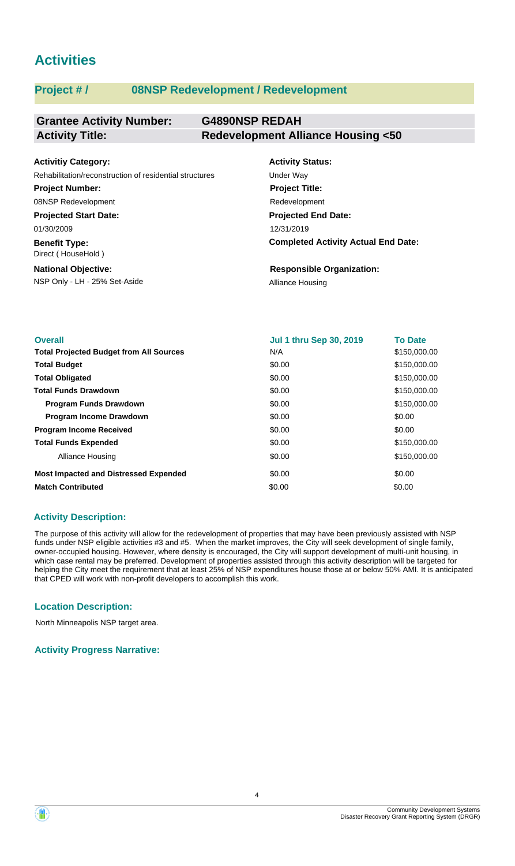# **Activities**

### **Project # / 08NSP Redevelopment / Redevelopment**

#### **Grantee Activity Number: G4890NSP REDAH Activity Title: Redevelopment Alliance Housing <50**

| <b>Activitiy Category:</b>                                                               | <b>Activity Status:</b>          |
|------------------------------------------------------------------------------------------|----------------------------------|
| Rehabilitation/reconstruction of residential structures                                  | Under Way                        |
| <b>Project Number:</b>                                                                   | <b>Project Title:</b>            |
| 08NSP Redevelopment                                                                      | Redevelopment                    |
| <b>Projected Start Date:</b>                                                             | <b>Projected End Date:</b>       |
| 01/30/2009                                                                               | 12/31/2019                       |
| <b>Completed Activity Actual End Date:</b><br><b>Benefit Type:</b><br>Direct (HouseHold) |                                  |
| <b>National Objective:</b>                                                               | <b>Responsible Organization:</b> |
| NSP Only - LH - 25% Set-Aside                                                            | Alliance Housing                 |

| <b>Overall</b>                                 | <b>Jul 1 thru Sep 30, 2019</b> | <b>To Date</b> |
|------------------------------------------------|--------------------------------|----------------|
| <b>Total Projected Budget from All Sources</b> | N/A                            | \$150,000.00   |
| <b>Total Budget</b>                            | \$0.00                         | \$150,000.00   |
| <b>Total Obligated</b>                         | \$0.00                         | \$150,000.00   |
| <b>Total Funds Drawdown</b>                    | \$0.00                         | \$150,000.00   |
| <b>Program Funds Drawdown</b>                  | \$0.00                         | \$150,000.00   |
| <b>Program Income Drawdown</b>                 | \$0.00                         | \$0.00         |
| <b>Program Income Received</b>                 | \$0.00                         | \$0.00         |
| <b>Total Funds Expended</b>                    | \$0.00                         | \$150,000.00   |
| Alliance Housing                               | \$0.00                         | \$150,000.00   |
| <b>Most Impacted and Distressed Expended</b>   | \$0.00                         | \$0.00         |
| <b>Match Contributed</b>                       | \$0.00                         | \$0.00         |

#### **Activity Description:**

The purpose of this activity will allow for the redevelopment of properties that may have been previously assisted with NSP funds under NSP eligible activities #3 and #5. When the market improves, the City will seek development of single family, owner-occupied housing. However, where density is encouraged, the City will support development of multi-unit housing, in which case rental may be preferred. Development of properties assisted through this activity description will be targeted for helping the City meet the requirement that at least 25% of NSP expenditures house those at or below 50% AMI. It is anticipated that CPED will work with non-profit developers to accomplish this work.

#### **Location Description:**

North Minneapolis NSP target area.

**Activity Progress Narrative:**

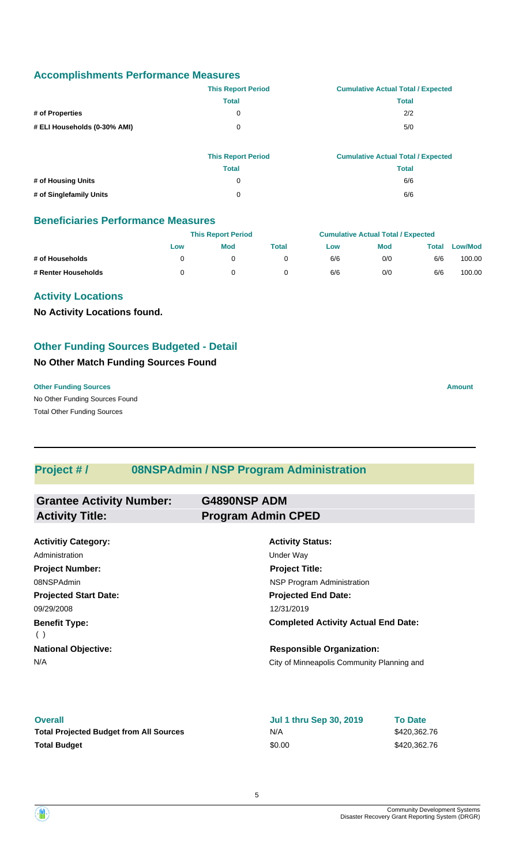#### **Accomplishments Performance Measures**

|                              | <b>This Report Period</b> | <b>Cumulative Actual Total / Expected</b> |
|------------------------------|---------------------------|-------------------------------------------|
|                              | Total                     | Total                                     |
| # of Properties              | 0                         | 2/2                                       |
| # ELI Households (0-30% AMI) | 0                         | 5/0                                       |

|                         | <b>This Report Period</b> | <b>Cumulative Actual Total / Expected</b> |
|-------------------------|---------------------------|-------------------------------------------|
|                         | Total                     | Total                                     |
| # of Housing Units      | 0                         | 6/6                                       |
| # of Singlefamily Units | 0                         | 6/6                                       |

#### **Beneficiaries Performance Measures**

|                     |     | <b>This Report Period</b> |       |     | <b>Cumulative Actual Total / Expected</b> |       |                |
|---------------------|-----|---------------------------|-------|-----|-------------------------------------------|-------|----------------|
|                     | Low | <b>Mod</b>                | Total | Low | <b>Mod</b>                                | Total | <b>Low/Mod</b> |
| # of Households     |     |                           |       | 6/6 | 0/0                                       | 6/6   | 100.00         |
| # Renter Households |     |                           |       | 6/6 | 0/0                                       | 6/6   | 100.00         |

#### **Activity Locations**

**No Activity Locations found.**

### **Other Funding Sources Budgeted - Detail**

#### **No Other Match Funding Sources Found**

No Other Funding Sources Found **Other Funding Sources Amount Amount Amount Amount Amount Amount Amount** Total Other Funding Sources

# **Project # / 08NSPAdmin / NSP Program Administration**

| <b>Grantee Activity Number:</b> | <b>G4890NSP ADM</b>                        |
|---------------------------------|--------------------------------------------|
| <b>Activity Title:</b>          | <b>Program Admin CPED</b>                  |
|                                 |                                            |
| <b>Activitiy Category:</b>      | <b>Activity Status:</b>                    |
| Administration                  | Under Way                                  |
| <b>Project Number:</b>          | <b>Project Title:</b>                      |
| 08NSPAdmin                      | NSP Program Administration                 |
| <b>Projected Start Date:</b>    | <b>Projected End Date:</b>                 |
| 09/29/2008                      | 12/31/2019                                 |
| <b>Benefit Type:</b><br>(       | <b>Completed Activity Actual End Date:</b> |
| <b>National Objective:</b>      | <b>Responsible Organization:</b>           |
| N/A                             | City of Minneapolis Community Planning and |

#### **Overall**

| <b>Overall</b>                                 | <b>Jul 1 thru Sep 30, 2019</b> | <b>To Date</b> |
|------------------------------------------------|--------------------------------|----------------|
| <b>Total Projected Budget from All Sources</b> | N/A                            | \$420,362.76   |
| <b>Total Budget</b>                            | \$0.00                         | \$420,362,76   |

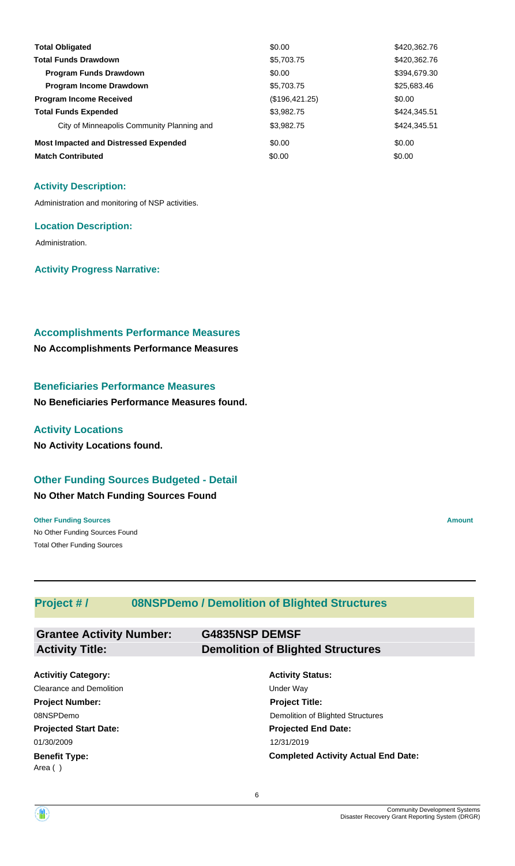| <b>Total Obligated</b>                       | \$0.00         | \$420,362.76 |
|----------------------------------------------|----------------|--------------|
| <b>Total Funds Drawdown</b>                  | \$5,703.75     | \$420,362.76 |
| <b>Program Funds Drawdown</b>                | \$0.00         | \$394,679.30 |
| Program Income Drawdown                      | \$5,703.75     | \$25,683.46  |
| <b>Program Income Received</b>               | (\$196,421.25) | \$0.00       |
| <b>Total Funds Expended</b>                  | \$3,982.75     | \$424,345.51 |
| City of Minneapolis Community Planning and   | \$3,982.75     | \$424,345.51 |
| <b>Most Impacted and Distressed Expended</b> | \$0.00         | \$0.00       |
| <b>Match Contributed</b>                     | \$0.00         | \$0.00       |

#### **Activity Description:**

Administration and monitoring of NSP activities.

#### **Location Description:**

Administration.

**Activity Progress Narrative:**

#### **Accomplishments Performance Measures**

**No Accomplishments Performance Measures**

#### **Beneficiaries Performance Measures**

**No Beneficiaries Performance Measures found.**

#### **Activity Locations**

**No Activity Locations found.**

#### **Other Funding Sources Budgeted - Detail**

#### **No Other Match Funding Sources Found**

No Other Funding Sources Found **Other Funding Sources Amount** Total Other Funding Sources

### **Project # / 08NSPDemo / Demolition of Blighted Structures**

| <b>Grantee Activity Number:</b> | <b>G4835NSP DEMSF</b>                    |
|---------------------------------|------------------------------------------|
| <b>Activity Title:</b>          | <b>Demolition of Blighted Structures</b> |
|                                 |                                          |
| <b>Activitiy Category:</b>      | <b>Activity Status:</b>                  |
| <b>Clearance and Demolition</b> | Under Way                                |
| <b>Project Number:</b>          | <b>Project Title:</b>                    |
| 08NSPDemo                       | Demolition of Blighted Structures        |
| <b>Projected Start Date:</b>    | <b>Projected End Date:</b>               |

**Projected Start Date: Benefit Type:** 01/30/2009 12/31/2019 Area ( )

**Completed Activity Actual End Date:**

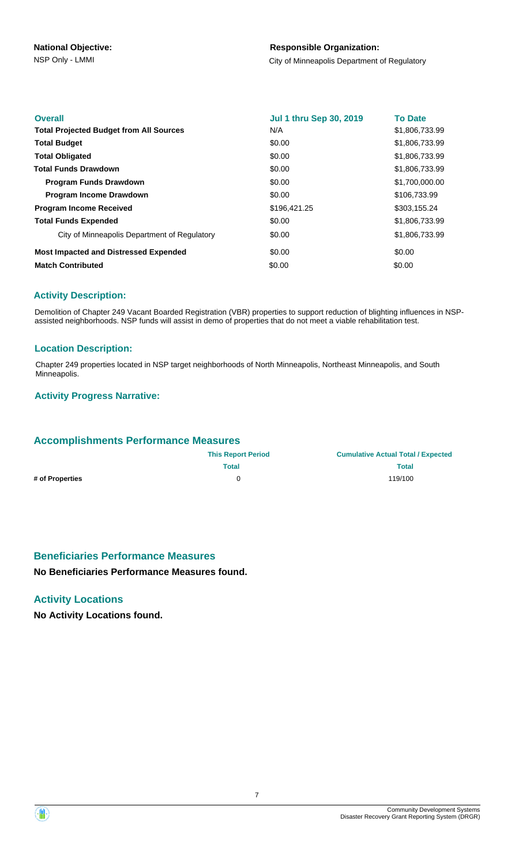#### **Responsible Organization:**

NSP Only - LMMI **NATURE 2003** City of Minneapolis Department of Regulatory

| <b>Overall</b>                                 | <b>Jul 1 thru Sep 30, 2019</b> | <b>To Date</b> |
|------------------------------------------------|--------------------------------|----------------|
| <b>Total Projected Budget from All Sources</b> | N/A                            | \$1,806,733.99 |
| <b>Total Budget</b>                            | \$0.00                         | \$1,806,733.99 |
| <b>Total Obligated</b>                         | \$0.00                         | \$1,806,733.99 |
| <b>Total Funds Drawdown</b>                    | \$0.00                         | \$1,806,733.99 |
| <b>Program Funds Drawdown</b>                  | \$0.00                         | \$1,700,000.00 |
| <b>Program Income Drawdown</b>                 | \$0.00                         | \$106,733.99   |
| <b>Program Income Received</b>                 | \$196,421.25                   | \$303,155.24   |
| <b>Total Funds Expended</b>                    | \$0.00                         | \$1,806,733.99 |
| City of Minneapolis Department of Regulatory   | \$0.00                         | \$1,806,733.99 |
| <b>Most Impacted and Distressed Expended</b>   | \$0.00                         | \$0.00         |
| <b>Match Contributed</b>                       | \$0.00                         | \$0.00         |

#### **Activity Description:**

Demolition of Chapter 249 Vacant Boarded Registration (VBR) properties to support reduction of blighting influences in NSPassisted neighborhoods. NSP funds will assist in demo of properties that do not meet a viable rehabilitation test.

#### **Location Description:**

Chapter 249 properties located in NSP target neighborhoods of North Minneapolis, Northeast Minneapolis, and South Minneapolis.

#### **Activity Progress Narrative:**

#### **Accomplishments Performance Measures**

| <b>This Report Period</b> | <b>Cumulative Actual Total / Expected</b> |
|---------------------------|-------------------------------------------|
| Total                     | Total                                     |
| O                         | 119/100                                   |
|                           |                                           |

#### **Beneficiaries Performance Measures**

**No Beneficiaries Performance Measures found.**

#### **Activity Locations**

**No Activity Locations found.**

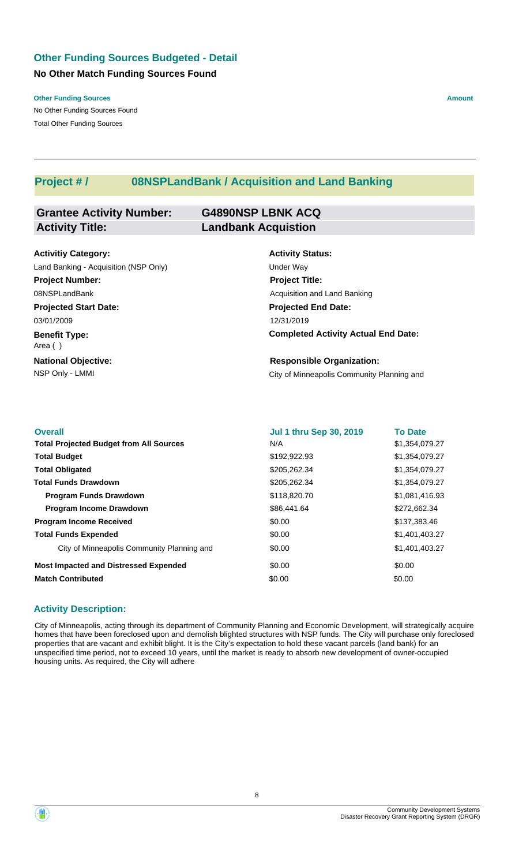### **No Other Match Funding Sources Found Other Funding Sources Budgeted - Detail**

**Other Funding Sources Amount Amount Amount Amount Amount Amount Amount** 

No Other Funding Sources Found Total Other Funding Sources

### **Project # / 08NSPLandBank / Acquisition and Land Banking**

| <b>Grantee Activity Number:</b> | <b>G4890NSP LBNK ACQ</b>   |
|---------------------------------|----------------------------|
| <b>Activity Title:</b>          | <b>Landbank Acquistion</b> |
|                                 |                            |

**Projected Start Date: Benefit Type: National Objective: Activitiy Category:** 03/01/2009 Area ( ) Land Banking - Acquisition (NSP Only) Under Way **Project Number:** 08NSPLandBank

**Activity Status: Projected End Date: Completed Activity Actual End Date:** 12/31/2019 **Project Title:** Acquisition and Land Banking

NSP Only - LMMI **NATURE 2018** City of Minneapolis Community Planning and **Responsible Organization:**

| <b>Overall</b>                                 | <b>Jul 1 thru Sep 30, 2019</b> | <b>To Date</b> |
|------------------------------------------------|--------------------------------|----------------|
| <b>Total Projected Budget from All Sources</b> | N/A                            | \$1,354,079.27 |
| <b>Total Budget</b>                            | \$192,922.93                   | \$1,354,079.27 |
| <b>Total Obligated</b>                         | \$205,262.34                   | \$1,354,079.27 |
| <b>Total Funds Drawdown</b>                    | \$205,262.34                   | \$1,354,079.27 |
| <b>Program Funds Drawdown</b>                  | \$118,820.70                   | \$1,081,416.93 |
| <b>Program Income Drawdown</b>                 | \$86,441.64                    | \$272,662.34   |
| <b>Program Income Received</b>                 | \$0.00                         | \$137,383.46   |
| <b>Total Funds Expended</b>                    | \$0.00                         | \$1,401,403.27 |
| City of Minneapolis Community Planning and     | \$0.00                         | \$1,401,403.27 |
| <b>Most Impacted and Distressed Expended</b>   | \$0.00                         | \$0.00         |
| <b>Match Contributed</b>                       | \$0.00                         | \$0.00         |

#### **Activity Description:**

City of Minneapolis, acting through its department of Community Planning and Economic Development, will strategically acquire homes that have been foreclosed upon and demolish blighted structures with NSP funds. The City will purchase only foreclosed properties that are vacant and exhibit blight. It is the City's expectation to hold these vacant parcels (land bank) for an unspecified time period, not to exceed 10 years, until the market is ready to absorb new development of owner-occupied housing units. As required, the City will adhere